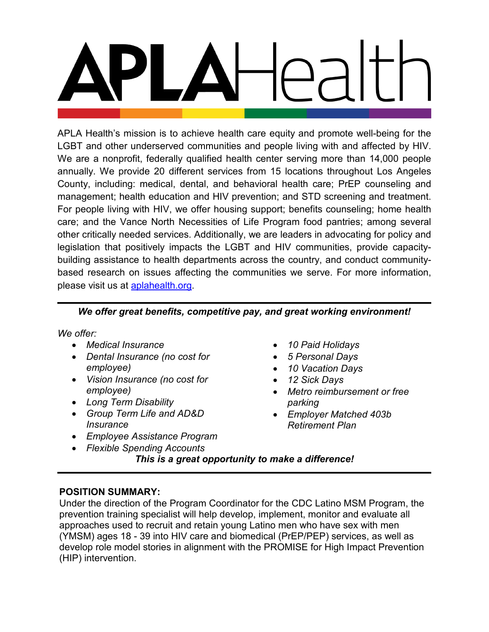APLA Health's mission is to achieve health care equity and promote well-being for the LGBT and other underserved communities and people living with and affected by HIV. We are a nonprofit, federally qualified health center serving more than 14,000 people annually. We provide 20 different services from 15 locations throughout Los Angeles County, including: medical, dental, and behavioral health care; PrEP counseling and management; health education and HIV prevention; and STD screening and treatment. For people living with HIV, we offer housing support; benefits counseling; home health care; and the Vance North Necessities of Life Program food pantries; among several other critically needed services. Additionally, we are leaders in advocating for policy and legislation that positively impacts the LGBT and HIV communities, provide capacitybuilding assistance to health departments across the country, and conduct communitybased research on issues affecting the communities we serve. For more information, please visit us at [aplahealth.org.](http://www.aplahealth.org/)

## *We offer great benefits, competitive pay, and great working environment!*

*We offer:*

- *Medical Insurance*
- *Dental Insurance (no cost for employee)*
- *Vision Insurance (no cost for employee)*
- *Long Term Disability*
- *Group Term Life and AD&D Insurance*
- *Employee Assistance Program*
- *Flexible Spending Accounts*
- *10 Paid Holidays*
- *5 Personal Days*
- *10 Vacation Days*
- *12 Sick Days*
- *Metro reimbursement or free parking*
- *Employer Matched 403b Retirement Plan*

*This is a great opportunity to make a difference!*

# **POSITION SUMMARY:**

Under the direction of the Program Coordinator for the CDC Latino MSM Program, the prevention training specialist will help develop, implement, monitor and evaluate all approaches used to recruit and retain young Latino men who have sex with men (YMSM) ages 18 - 39 into HIV care and biomedical (PrEP/PEP) services, as well as develop role model stories in alignment with the PROMISE for High Impact Prevention (HIP) intervention.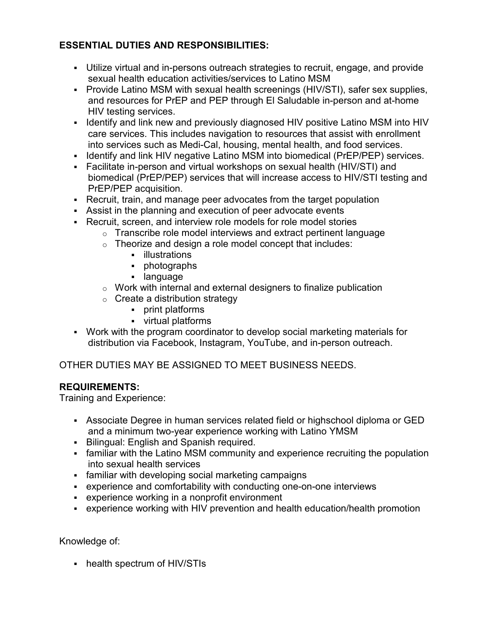# **ESSENTIAL DUTIES AND RESPONSIBILITIES:**

- Utilize virtual and in-persons outreach strategies to recruit, engage, and provide sexual health education activities/services to Latino MSM
- Provide Latino MSM with sexual health screenings (HIV/STI), safer sex supplies, and resources for PrEP and PEP through El Saludable in-person and at-home HIV testing services.
- I Identify and link new and previously diagnosed HIV positive Latino MSM into HIV care services. This includes navigation to resources that assist with enrollment into services such as Medi-Cal, housing, mental health, and food services.
- Identify and link HIV negative Latino MSM into biomedical (PrEP/PEP) services.
- Facilitate in-person and virtual workshops on sexual health (HIV/STI) and biomedical (PrEP/PEP) services that will increase access to HIV/STI testing and PrEP/PEP acquisition.
- Recruit, train, and manage peer advocates from the target population
- Assist in the planning and execution of peer advocate events
- Recruit, screen, and interview role models for role model stories
	- $\circ$  Transcribe role model interviews and extract pertinent language
	- $\circ$  Theorize and design a role model concept that includes:
		- **·** illustrations
		- photographs
		- **-** language
	- $\circ$  Work with internal and external designers to finalize publication
	- $\circ$  Create a distribution strategy
		- print platforms
		- virtual platforms
- Work with the program coordinator to develop social marketing materials for distribution via Facebook, Instagram, YouTube, and in-person outreach.

OTHER DUTIES MAY BE ASSIGNED TO MEET BUSINESS NEEDS.

# **REQUIREMENTS:**

Training and Experience:

- Associate Degree in human services related field or highschool diploma or GED and a minimum two-year experience working with Latino YMSM
- **Bilingual: English and Spanish required.**
- familiar with the Latino MSM community and experience recruiting the population into sexual health services
- familiar with developing social marketing campaigns
- experience and comfortability with conducting one-on-one interviews
- experience working in a nonprofit environment
- experience working with HIV prevention and health education/health promotion

Knowledge of:

- health spectrum of HIV/STIs